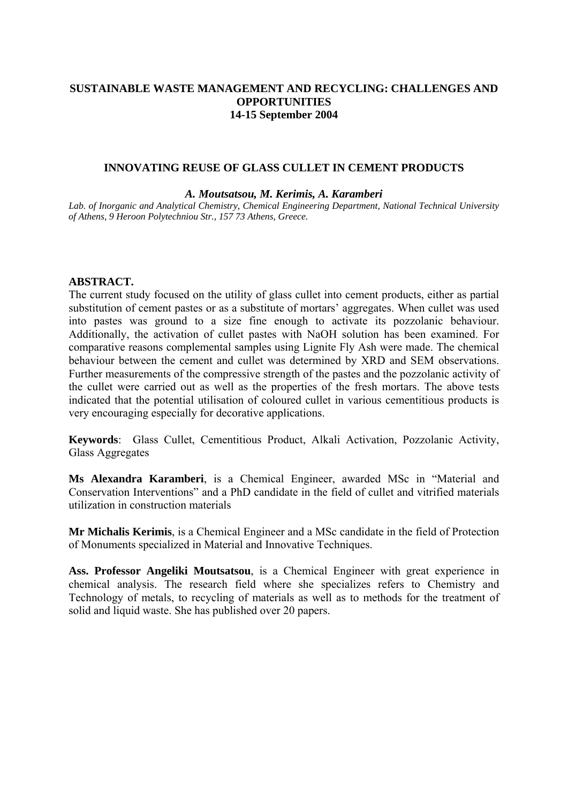## **SUSTAINABLE WASTE MANAGEMENT AND RECYCLING: CHALLENGES AND OPPORTUNITIES 14-15 September 2004**

#### **INNOVATING REUSE OF GLASS CULLET IN CEMENT PRODUCTS**

#### *A. Moutsatsou, M. Kerimis, A. Karamberi*

*Lab. of Inorganic and Analytical Chemistry, Chemical Engineering Department, National Technical University of Athens, 9 Heroon Polytechniou Str., 157 73 Athens, Greece.*

#### **ABSTRACT.**

The current study focused on the utility of glass cullet into cement products, either as partial substitution of cement pastes or as a substitute of mortars' aggregates. When cullet was used into pastes was ground to a size fine enough to activate its pozzolanic behaviour. Additionally, the activation of cullet pastes with NaOH solution has been examined. For comparative reasons complemental samples using Lignite Fly Ash were made. The chemical behaviour between the cement and cullet was determined by XRD and SEM observations. Further measurements of the compressive strength of the pastes and the pozzolanic activity of the cullet were carried out as well as the properties of the fresh mortars. The above tests indicated that the potential utilisation of coloured cullet in various cementitious products is very encouraging especially for decorative applications.

**Keywords**: Glass Cullet, Cementitious Product, Alkali Activation, Pozzolanic Activity, Glass Aggregates

**Ms Alexandra Karamberi**, is a Chemical Engineer, awarded MSc in "Material and Conservation Interventions" and a PhD candidate in the field of cullet and vitrified materials utilization in construction materials

**Mr Michalis Kerimis**, is a Chemical Engineer and a MSc candidate in the field of Protection of Monuments specialized in Material and Innovative Techniques.

**Ass. Professor Angeliki Moutsatsou**, is a Chemical Engineer with great experience in chemical analysis. The research field where she specializes refers to Chemistry and Technology of metals, to recycling of materials as well as to methods for the treatment of solid and liquid waste. She has published over 20 papers.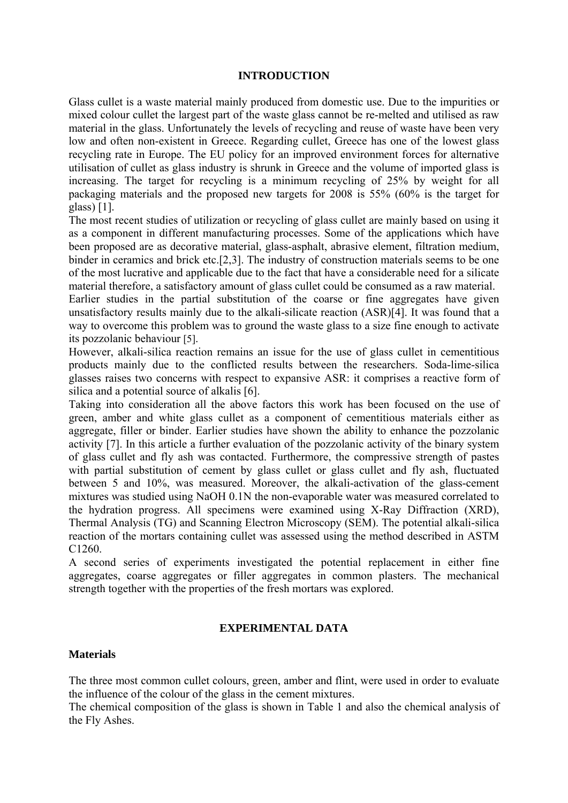### **INTRODUCTION**

Glass cullet is a waste material mainly produced from domestic use. Due to the impurities or mixed colour cullet the largest part of the waste glass cannot be re-melted and utilised as raw material in the glass. Unfortunately the levels of recycling and reuse of waste have been very low and often non-existent in Greece. Regarding cullet, Greece has one of the lowest glass recycling rate in Europe. The EU policy for an improved environment forces for alternative utilisation of cullet as glass industry is shrunk in Greece and the volume of imported glass is increasing. The target for recycling is a minimum recycling of 25% by weight for all packaging materials and the proposed new targets for 2008 is 55% (60% is the target for glass) [1].

The most recent studies of utilization or recycling of glass cullet are mainly based on using it as a component in different manufacturing processes. Some of the applications which have been proposed are as decorative material, glass-asphalt, abrasive element, filtration medium, binder in ceramics and brick etc.[2,3]. The industry of construction materials seems to be one of the most lucrative and applicable due to the fact that have a considerable need for a silicate material therefore, a satisfactory amount of glass cullet could be consumed as a raw material.

Earlier studies in the partial substitution of the coarse or fine aggregates have given unsatisfactory results mainly due to the alkali-silicate reaction (ASR)[4]. It was found that a way to overcome this problem was to ground the waste glass to a size fine enough to activate its pozzolanic behaviour [5].

However, alkali-silica reaction remains an issue for the use of glass cullet in cementitious products mainly due to the conflicted results between the researchers. Soda-lime-silica glasses raises two concerns with respect to expansive ASR: it comprises a reactive form of silica and a potential source of alkalis [6].

Taking into consideration all the above factors this work has been focused on the use of green, amber and white glass cullet as a component of cementitious materials either as aggregate, filler or binder. Earlier studies have shown the ability to enhance the pozzolanic activity [7]. In this article a further evaluation of the pozzolanic activity of the binary system of glass cullet and fly ash was contacted. Furthermore, the compressive strength of pastes with partial substitution of cement by glass cullet or glass cullet and fly ash, fluctuated between 5 and 10%, was measured. Moreover, the alkali-activation of the glass-cement mixtures was studied using NaOH 0.1N the non-evaporable water was measured correlated to the hydration progress. All specimens were examined using X-Ray Diffraction (XRD), Thermal Analysis (TG) and Scanning Electron Microscopy (SEM). The potential alkali-silica reaction of the mortars containing cullet was assessed using the method described in ASTM C<sub>1260</sub>

A second series of experiments investigated the potential replacement in either fine aggregates, coarse aggregates or filler aggregates in common plasters. The mechanical strength together with the properties of the fresh mortars was explored.

### **EXPERIMENTAL DATA**

### **Materials**

The three most common cullet colours, green, amber and flint, were used in order to evaluate the influence of the colour of the glass in the cement mixtures.

The chemical composition of the glass is shown in Table 1 and also the chemical analysis of the Fly Ashes.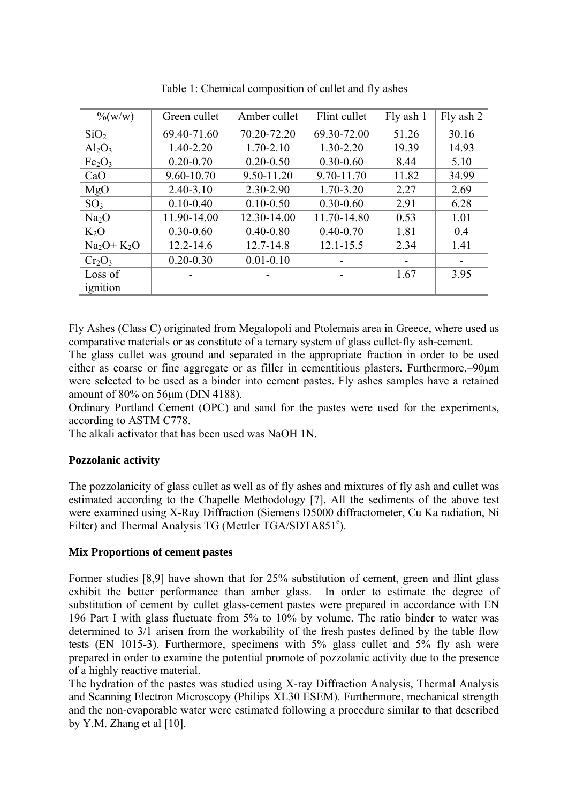| $\%$ (w/w)                     | Green cullet  | Amber cullet  | Flint cullet  | Fly ash 1 | Fly ash 2 |
|--------------------------------|---------------|---------------|---------------|-----------|-----------|
| SiO <sub>2</sub>               | 69.40-71.60   | 70.20-72.20   | 69.30-72.00   | 51.26     | 30.16     |
| $Al_2O_3$                      | 1.40-2.20     | $1.70 - 2.10$ | 1.30-2.20     | 19.39     | 14.93     |
| Fe <sub>2</sub> O <sub>3</sub> | $0.20 - 0.70$ | $0.20 - 0.50$ | $0.30 - 0.60$ | 8.44      | 5.10      |
| CaO                            | 9.60-10.70    | 9.50-11.20    | 9.70-11.70    | 11.82     | 34.99     |
| MgO                            | $2.40 - 3.10$ | 2.30-2.90     | $1.70 - 3.20$ | 2.27      | 2.69      |
| SO <sub>3</sub>                | $0.10 - 0.40$ | $0.10 - 0.50$ | $0.30 - 0.60$ | 2.91      | 6.28      |
| Na <sub>2</sub> O              | 11.90-14.00   | 12.30-14.00   | 11.70-14.80   | 0.53      | 1.01      |
| $K_2O$                         | $0.30 - 0.60$ | $0.40 - 0.80$ | $0.40 - 0.70$ | 1.81      | 0.4       |
| $Na2O+K2O$                     | $12.2 - 14.6$ | $12.7 - 14.8$ | $12.1 - 15.5$ | 2.34      | 1.41      |
| $Cr_2O_3$                      | $0.20 - 0.30$ | $0.01 - 0.10$ |               |           |           |
| Loss of                        |               |               |               | 1.67      | 3.95      |
| ignition                       |               |               |               |           |           |

Table 1: Chemical composition of cullet and fly ashes

Fly Ashes (Class C) originated from Megalopoli and Ptolemais area in Greece, where used as comparative materials or as constitute of a ternary system of glass cullet-fly ash-cement.

The glass cullet was ground and separated in the appropriate fraction in order to be used either as coarse or fine aggregate or as filler in cementitious plasters. Furthermore,–90μm were selected to be used as a binder into cement pastes. Fly ashes samples have a retained amount of 80% on 56μm (DIN 4188).

Ordinary Portland Cement (OPC) and sand for the pastes were used for the experiments, according to ASTM C778.

The alkali activator that has been used was NaOH 1N.

# **Pozzolanic activity**

The pozzolanicity of glass cullet as well as of fly ashes and mixtures of fly ash and cullet was estimated according to the Chapelle Methodology [7]. All the sediments of the above test were examined using X-Ray Diffraction (Siemens D5000 diffractometer, Cu Ka radiation, Ni Filter) and Thermal Analysis TG (Mettler TGA/SDTA851°).

### **Mix Proportions of cement pastes**

Former studies [8,9] have shown that for 25% substitution of cement, green and flint glass exhibit the better performance than amber glass. In order to estimate the degree of substitution of cement by cullet glass-cement pastes were prepared in accordance with ΕΝ 196 Part I with glass fluctuate from 5% to 10% by volume. The ratio binder to water was determined to 3/1 arisen from the workability of the fresh pastes defined by the table flow tests (EN 1015-3). Furthermore, specimens with 5% glass cullet and 5% fly ash were prepared in order to examine the potential promote of pozzolanic activity due to the presence of a highly reactive material.

The hydration of the pastes was studied using X-ray Diffraction Analysis, Thermal Analysis and Scanning Electron Microscopy (Philips XL30 ESEM). Furthermore, mechanical strength and the non-evaporable water were estimated following a procedure similar to that described by Y.M. Zhang et al  $[10]$ .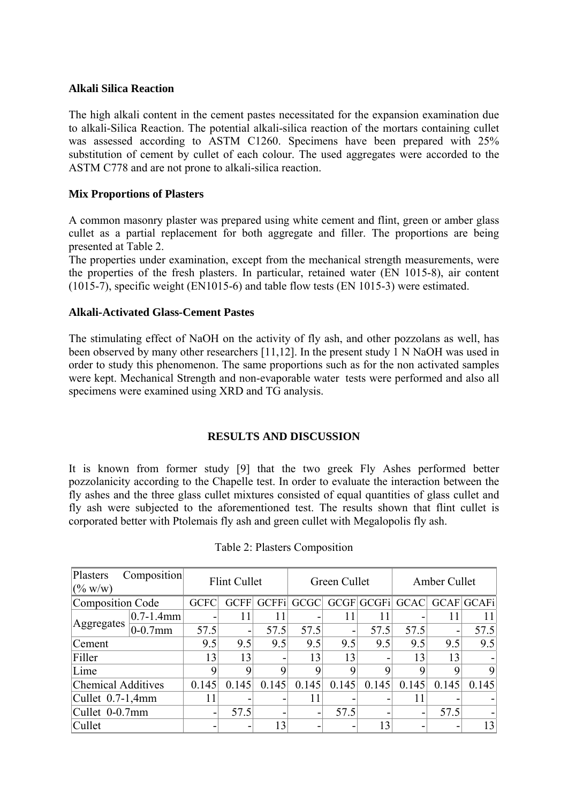#### **Alkali Silica Reaction**

The high alkali content in the cement pastes necessitated for the expansion examination due to alkali-Silica Reaction. The potential alkali-silica reaction of the mortars containing cullet was assessed according to ASTM C1260. Specimens have been prepared with 25% substitution of cement by cullet of each colour. The used aggregates were accorded to the ASTM C778 and are not prone to alkali-silica reaction.

### **Mix Proportions of Plasters**

A common masonry plaster was prepared using white cement and flint, green or amber glass cullet as a partial replacement for both aggregate and filler. The proportions are being presented at Table 2.

The properties under examination, except from the mechanical strength measurements, were the properties of the fresh plasters. In particular, retained water (EN 1015-8), air content (1015-7), specific weight (EN1015-6) and table flow tests (EN 1015-3) were estimated.

### **Alkali-Activated Glass-Cement Pastes**

The stimulating effect of NaOH on the activity of fly ash, and other pozzolans as well, has been observed by many other researchers [11,12]. In the present study 1 N NaOH was used in order to study this phenomenon. The same proportions such as for the non activated samples were kept. Mechanical Strength and non-evaporable water tests were performed and also all specimens were examined using XRD and TG analysis.

# **RESULTS AND DISCUSSION**

It is known from former study [9] that the two greek Fly Ashes performed better pozzolanicity according to the Chapelle test. In order to evaluate the interaction between the fly ashes and the three glass cullet mixtures consisted of equal quantities of glass cullet and fly ash were subjected to the aforementioned test. The results shown that flint cullet is corporated better with Ptolemais fly ash and green cullet with Megalopolis fly ash.

| Plasters<br>Composition<br>(% w/w) |                | Flint Cullet |             |              | Green Cullet |                          |                 | Amber Cullet |       |            |  |
|------------------------------------|----------------|--------------|-------------|--------------|--------------|--------------------------|-----------------|--------------|-------|------------|--|
| Composition Code                   |                | <b>GCFC</b>  | <b>GCFF</b> | <b>GCFFi</b> | GCGC         |                          | GCGF GCGFi GCAC |              |       | GCAF GCAFi |  |
|                                    | $0.7 - 1.4$ mm |              | 11          | 11           | -            | 11                       |                 |              |       |            |  |
| Aggregates                         | $0-0.7$ mm     | 57.5         | -           | 57.5         | 57.5         | $\overline{\phantom{0}}$ | 57.5            | 57.5         |       | 57.5       |  |
| Cement                             |                | 9.5          | 9.5         | 9.5          | 9.5          | 9.5                      | 9.5             | 9.5          | 9.5   | 9.5        |  |
| Filler                             |                | 13           | 13          | -            | 13           | 13                       |                 | 13           | 13    |            |  |
| Lime                               |                | 9            | Q           | Q            | Q            | Q                        | Q               |              |       | 9          |  |
| Chemical Additives                 |                | 0.145        | 0.145       | 0.145        | 0.145        | 0.145                    | 0.145           | 0.145        | 0.145 | 0.145      |  |
| Cullet $0.7-1,4$ mm                |                | 11           |             |              | 11           |                          |                 | 11           |       |            |  |
| Cullet 0-0.7mm                     |                |              | 57.5        |              | -            | 57.5                     |                 |              | 57.5  |            |  |
| Cullet                             |                |              |             | 13           |              |                          | 13              |              |       | 13         |  |

| Table 2: Plasters Composition |
|-------------------------------|
|-------------------------------|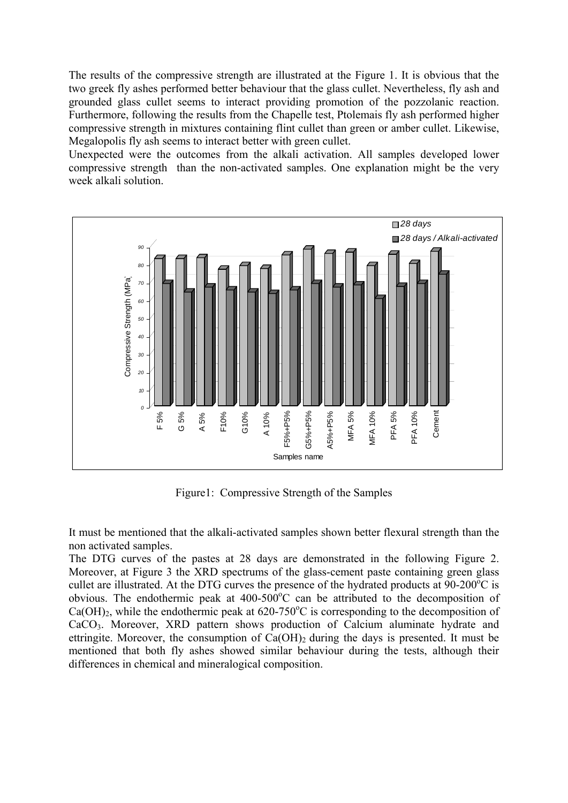The results of the compressive strength are illustrated at the Figure 1. It is obvious that the two greek fly ashes performed better behaviour that the glass cullet. Nevertheless, fly ash and grounded glass cullet seems to interact providing promotion of the pozzolanic reaction. Furthermore, following the results from the Chapelle test, Ptolemais fly ash performed higher compressive strength in mixtures containing flint cullet than green or amber cullet. Likewise, Megalopolis fly ash seems to interact better with green cullet.

Unexpected were the outcomes from the alkali activation. All samples developed lower compressive strength than the non-activated samples. One explanation might be the very week alkali solution.



Figure1: Compressive Strength of the Samples

It must be mentioned that the alkali-activated samples shown better flexural strength than the non activated samples.

The DTG curves of the pastes at 28 days are demonstrated in the following Figure 2. Moreover, at Figure 3 the XRD spectrums of the glass-cement paste containing green glass cullet are illustrated. At the DTG curves the presence of the hydrated products at  $90-200^{\circ}$ C is obvious. The endothermic peak at  $400-500^{\circ}$ C can be attributed to the decomposition of  $Ca(OH)_2$ , while the endothermic peak at 620-750°C is corresponding to the decomposition of CaCO3. Moreover, XRD pattern shows production of Calcium aluminate hydrate and ettringite. Moreover, the consumption of  $Ca(OH)_2$  during the days is presented. It must be mentioned that both fly ashes showed similar behaviour during the tests, although their differences in chemical and mineralogical composition.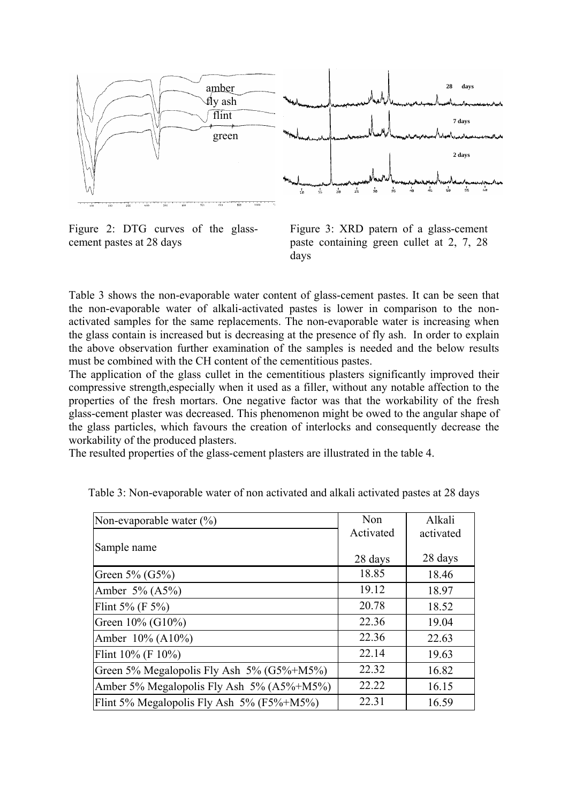

Figure 2: DTG curves of the glasscement pastes at 28 days

Figure 3: XRD patern of a glass-cement paste containing green cullet at 2, 7, 28 days

Table 3 shows the non-evaporable water content of glass-cement pastes. It can be seen that the non-evaporable water of alkali-activated pastes is lower in comparison to the nonactivated samples for the same replacements. The non-evaporable water is increasing when the glass contain is increased but is decreasing at the presence of fly ash. In order to explain the above observation further examination of the samples is needed and the below results must be combined with the CH content of the cementitious pastes.

The application of the glass cullet in the cementitious plasters significantly improved their compressive strength,especially when it used as a filler, without any notable affection to the properties of the fresh mortars. One negative factor was that the workability of the fresh glass-cement plaster was decreased. This phenomenon might be owed to the angular shape of the glass particles, which favours the creation of interlocks and consequently decrease the workability of the produced plasters.

The resulted properties of the glass-cement plasters are illustrated in the table 4.

| Non-evaporable water (%)                  | Non       | Alkali    |  |
|-------------------------------------------|-----------|-----------|--|
|                                           | Activated | activated |  |
| Sample name                               | 28 days   | 28 days   |  |
| Green $5\%$ (G5%)                         | 18.85     | 18.46     |  |
| Amber $5\%$ (A5%)                         | 19.12     | 18.97     |  |
| Flint 5% (F $5\%$ )                       | 20.78     | 18.52     |  |
| Green 10% (G10%)                          | 22.36     | 19.04     |  |
| Amber 10% (A10%)                          | 22.36     | 22.63     |  |
| Flint $10\%$ (F $10\%$ )                  | 22.14     | 19.63     |  |
| Green 5% Megalopolis Fly Ash 5% (G5%+M5%) | 22.32     | 16.82     |  |
| Amber 5% Megalopolis Fly Ash 5% (A5%+M5%) | 22.22     | 16.15     |  |
| Flint 5% Megalopolis Fly Ash 5% (F5%+M5%) | 22.31     | 16.59     |  |

Table 3: Non-evaporable water of non activated and alkali activated pastes at 28 days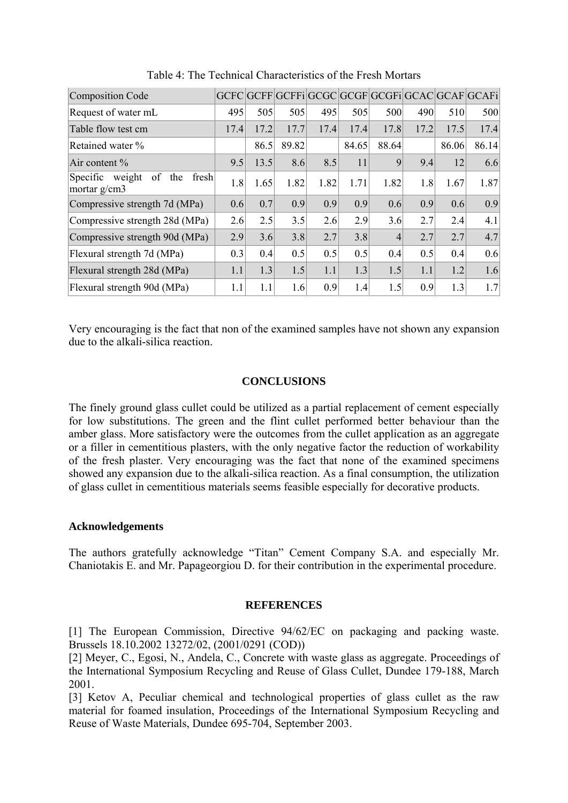| Composition Code                                      |      |      |       |      |       |                |      |       | GCFC GCFF GCFFi GCGC GCGF GCGFi GCAC GCAF GCAFi |
|-------------------------------------------------------|------|------|-------|------|-------|----------------|------|-------|-------------------------------------------------|
| Request of water mL                                   | 495  | 505  | 505   | 495  | 505   | 500            | 490  | 510   | 500                                             |
| Table flow test cm                                    | 17.4 | 17.2 | 17.7  | 17.4 | 17.4  | 17.8           | 17.2 | 17.5  | 17.4                                            |
| Retained water %                                      |      | 86.5 | 89.82 |      | 84.65 | 88.64          |      | 86.06 | 86.14                                           |
| Air content %                                         | 9.5  | 13.5 | 8.6   | 8.5  | 11    | 9              | 9.4  | 12    | 6.6                                             |
| Specific weight<br>of<br>the<br>fresh<br>mortar g/cm3 | 1.8  | 1.65 | 1.82  | 1.82 | 1.71  | 1.82           | 1.8  | 1.67  | 1.87                                            |
| Compressive strength 7d (MPa)                         | 0.6  | 0.7  | 0.9   | 0.9  | 0.9   | 0.6            | 0.9  | 0.6   | 0.9                                             |
| Compressive strength 28d (MPa)                        | 2.6  | 2.5  | 3.5   | 2.6  | 2.9   | 3.6            | 2.7  | 2.4   | 4.1                                             |
| Compressive strength 90d (MPa)                        | 2.9  | 3.6  | 3.8   | 2.7  | 3.8   | $\overline{4}$ | 2.7  | 2.7   | 4.7                                             |
| Flexural strength 7d (MPa)                            | 0.3  | 0.4  | 0.5   | 0.5  | 0.5   | 0.4            | 0.5  | 0.4   | 0.6                                             |
| Flexural strength 28d (MPa)                           | 1.1  | 1.3  | 1.5   | 1.1  | 1.3   | 1.5            | 1.1  | 1.2   | 1.6                                             |
| Flexural strength 90d (MPa)                           | 1.1  | 1.1  | 1.6   | 0.9  | 1.4   | 1.5            | 0.9  | 1.3   | 1.7                                             |

Table 4: The Technical Characteristics of the Fresh Mortars

Very encouraging is the fact that non of the examined samples have not shown any expansion due to the alkali-silica reaction.

## **CONCLUSIONS**

The finely ground glass cullet could be utilized as a partial replacement of cement especially for low substitutions. The green and the flint cullet performed better behaviour than the amber glass. More satisfactory were the outcomes from the cullet application as an aggregate or a filler in cementitious plasters, with the only negative factor the reduction of workability of the fresh plaster. Very encouraging was the fact that none of the examined specimens showed any expansion due to the alkali-silica reaction. As a final consumption, the utilization of glass cullet in cementitious materials seems feasible especially for decorative products.

### **Acknowledgements**

The authors gratefully acknowledge "Titan" Cement Company S.A. and especially Mr. Chaniotakis E. and Mr. Papageorgiou D. for their contribution in the experimental procedure.

#### **REFERENCES**

[1] The European Commission, Directive 94/62/EC on packaging and packing waste. Brussels 18.10.2002 13272/02, (2001/0291 (COD))

[2] Meyer, C., Egosi, N., Andela, C., Concrete with waste glass as aggregate. Proceedings of the International Symposium Recycling and Reuse of Glass Cullet, Dundee 179-188, March 2001.

[3] Ketov A, Peculiar chemical and technological properties of glass cullet as the raw material for foamed insulation, Proceedings of the International Symposium Recycling and Reuse of Waste Materials, Dundee 695-704, September 2003.